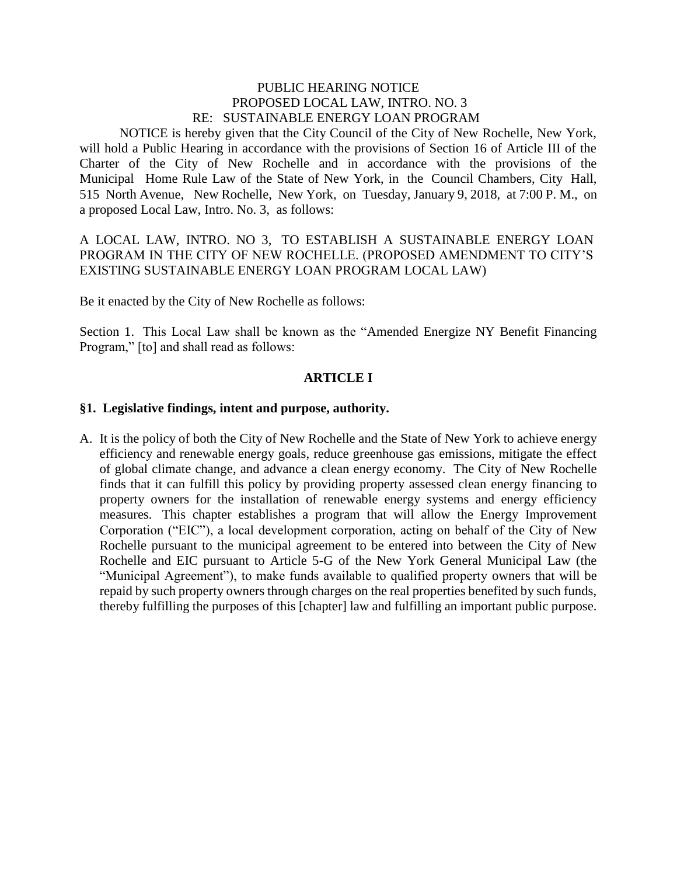## PUBLIC HEARING NOTICE PROPOSED LOCAL LAW, INTRO. NO. 3 RE: SUSTAINABLE ENERGY LOAN PROGRAM

NOTICE is hereby given that the City Council of the City of New Rochelle, New York, will hold a Public Hearing in accordance with the provisions of Section 16 of Article III of the Charter of the City of New Rochelle and in accordance with the provisions of the Municipal Home Rule Law of the State of New York, in the Council Chambers, City Hall, 515 North Avenue, New Rochelle, New York, on Tuesday, January 9, 2018, at 7:00 P. M., on a proposed Local Law, Intro. No. 3, as follows:

## A LOCAL LAW, INTRO. NO 3, TO ESTABLISH A SUSTAINABLE ENERGY LOAN PROGRAM IN THE CITY OF NEW ROCHELLE. (PROPOSED AMENDMENT TO CITY'S EXISTING SUSTAINABLE ENERGY LOAN PROGRAM LOCAL LAW)

Be it enacted by the City of New Rochelle as follows:

Section 1. This Local Law shall be known as the "Amended Energize NY Benefit Financing Program," [to] and shall read as follows:

### **ARTICLE I**

### **§1. Legislative findings, intent and purpose, authority.**

A. It is the policy of both the City of New Rochelle and the State of New York to achieve energy efficiency and renewable energy goals, reduce greenhouse gas emissions, mitigate the effect of global climate change, and advance a clean energy economy. The City of New Rochelle finds that it can fulfill this policy by providing property assessed clean energy financing to property owners for the installation of renewable energy systems and energy efficiency measures. This chapter establishes a program that will allow the Energy Improvement Corporation ("EIC"), a local development corporation, acting on behalf of the City of New Rochelle pursuant to the municipal agreement to be entered into between the City of New Rochelle and EIC pursuant to Article 5-G of the New York General Municipal Law (the "Municipal Agreement"), to make funds available to qualified property owners that will be repaid by such property owners through charges on the real properties benefited by such funds, thereby fulfilling the purposes of this [chapter] law and fulfilling an important public purpose.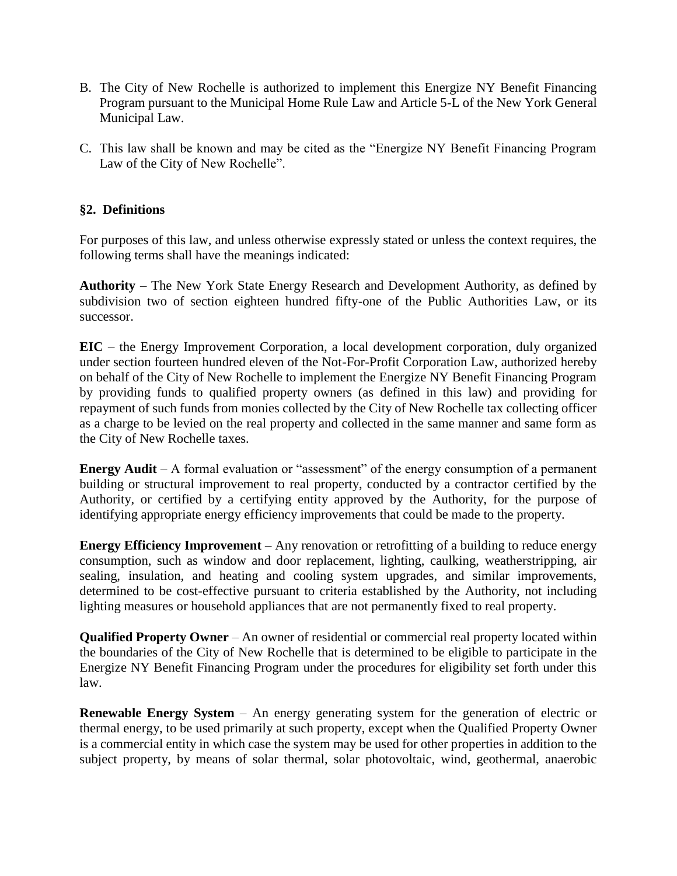- B. The City of New Rochelle is authorized to implement this Energize NY Benefit Financing Program pursuant to the Municipal Home Rule Law and Article 5-L of the New York General Municipal Law.
- C. This law shall be known and may be cited as the "Energize NY Benefit Financing Program Law of the City of New Rochelle".

# **§2. Definitions**

For purposes of this law, and unless otherwise expressly stated or unless the context requires, the following terms shall have the meanings indicated:

**Authority** – The New York State Energy Research and Development Authority, as defined by subdivision two of section eighteen hundred fifty-one of the Public Authorities Law, or its successor.

**EIC** – the Energy Improvement Corporation, a local development corporation, duly organized under section fourteen hundred eleven of the Not-For-Profit Corporation Law, authorized hereby on behalf of the City of New Rochelle to implement the Energize NY Benefit Financing Program by providing funds to qualified property owners (as defined in this law) and providing for repayment of such funds from monies collected by the City of New Rochelle tax collecting officer as a charge to be levied on the real property and collected in the same manner and same form as the City of New Rochelle taxes.

**Energy Audit** – A formal evaluation or "assessment" of the energy consumption of a permanent building or structural improvement to real property, conducted by a contractor certified by the Authority, or certified by a certifying entity approved by the Authority, for the purpose of identifying appropriate energy efficiency improvements that could be made to the property.

**Energy Efficiency Improvement** – Any renovation or retrofitting of a building to reduce energy consumption, such as window and door replacement, lighting, caulking, weatherstripping, air sealing, insulation, and heating and cooling system upgrades, and similar improvements, determined to be cost-effective pursuant to criteria established by the Authority, not including lighting measures or household appliances that are not permanently fixed to real property.

**Qualified Property Owner** – An owner of residential or commercial real property located within the boundaries of the City of New Rochelle that is determined to be eligible to participate in the Energize NY Benefit Financing Program under the procedures for eligibility set forth under this law.

**Renewable Energy System** – An energy generating system for the generation of electric or thermal energy, to be used primarily at such property, except when the Qualified Property Owner is a commercial entity in which case the system may be used for other properties in addition to the subject property, by means of solar thermal, solar photovoltaic, wind, geothermal, anaerobic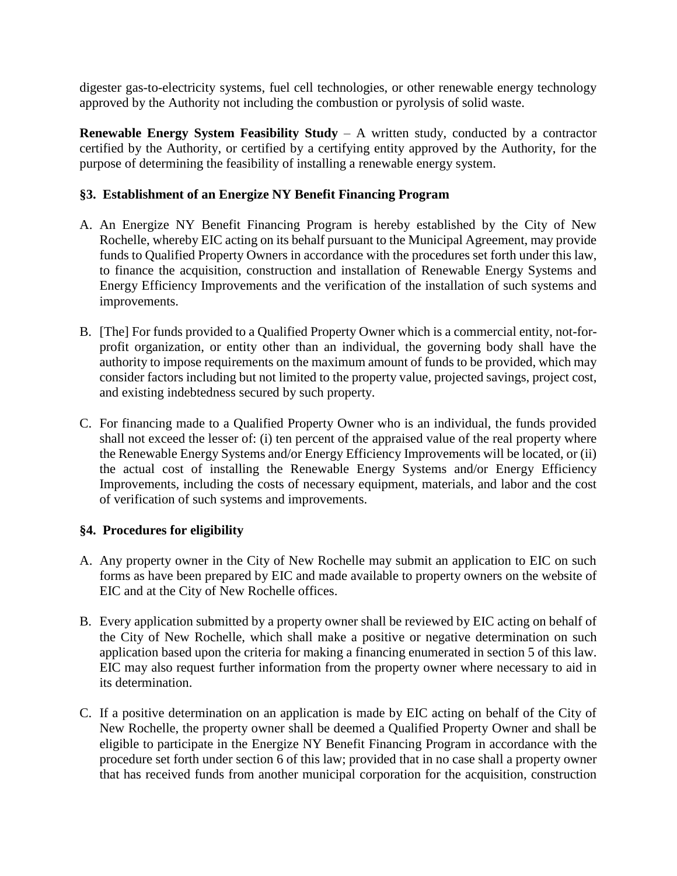digester gas-to-electricity systems, fuel cell technologies, or other renewable energy technology approved by the Authority not including the combustion or pyrolysis of solid waste.

**Renewable Energy System Feasibility Study** – A written study, conducted by a contractor certified by the Authority, or certified by a certifying entity approved by the Authority, for the purpose of determining the feasibility of installing a renewable energy system.

# **§3. Establishment of an Energize NY Benefit Financing Program**

- A. An Energize NY Benefit Financing Program is hereby established by the City of New Rochelle, whereby EIC acting on its behalf pursuant to the Municipal Agreement, may provide funds to Qualified Property Owners in accordance with the procedures set forth under this law, to finance the acquisition, construction and installation of Renewable Energy Systems and Energy Efficiency Improvements and the verification of the installation of such systems and improvements.
- B. [The] For funds provided to a Qualified Property Owner which is a commercial entity, not-forprofit organization, or entity other than an individual, the governing body shall have the authority to impose requirements on the maximum amount of funds to be provided, which may consider factors including but not limited to the property value, projected savings, project cost, and existing indebtedness secured by such property.
- C. For financing made to a Qualified Property Owner who is an individual, the funds provided shall not exceed the lesser of: (i) ten percent of the appraised value of the real property where the Renewable Energy Systems and/or Energy Efficiency Improvements will be located, or (ii) the actual cost of installing the Renewable Energy Systems and/or Energy Efficiency Improvements, including the costs of necessary equipment, materials, and labor and the cost of verification of such systems and improvements.

### **§4. Procedures for eligibility**

- A. Any property owner in the City of New Rochelle may submit an application to EIC on such forms as have been prepared by EIC and made available to property owners on the website of EIC and at the City of New Rochelle offices.
- B. Every application submitted by a property owner shall be reviewed by EIC acting on behalf of the City of New Rochelle, which shall make a positive or negative determination on such application based upon the criteria for making a financing enumerated in section 5 of this law. EIC may also request further information from the property owner where necessary to aid in its determination.
- C. If a positive determination on an application is made by EIC acting on behalf of the City of New Rochelle, the property owner shall be deemed a Qualified Property Owner and shall be eligible to participate in the Energize NY Benefit Financing Program in accordance with the procedure set forth under section 6 of this law; provided that in no case shall a property owner that has received funds from another municipal corporation for the acquisition, construction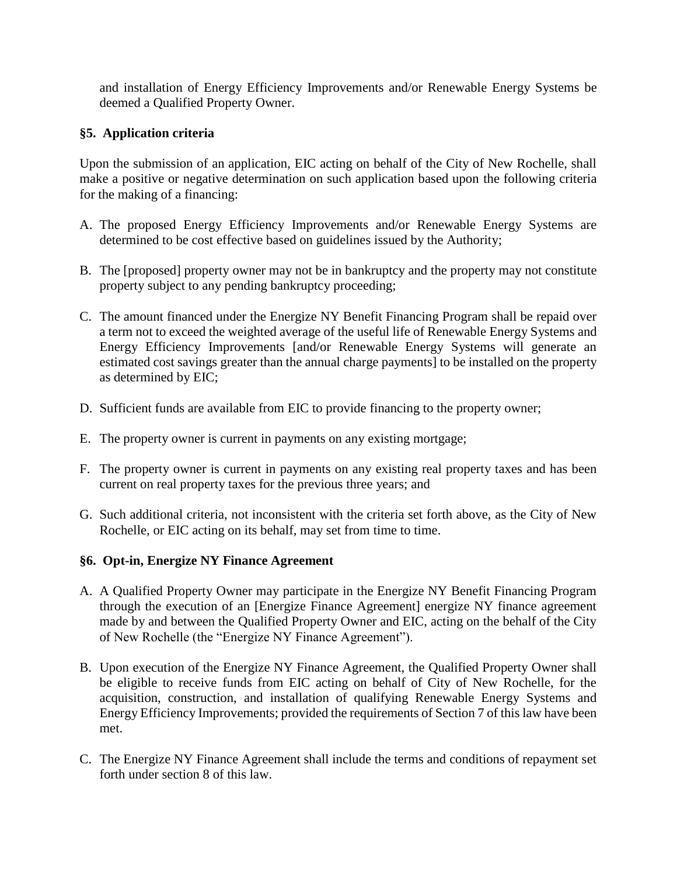and installation of Energy Efficiency Improvements and/or Renewable Energy Systems be deemed a Qualified Property Owner.

## **§5. Application criteria**

Upon the submission of an application, EIC acting on behalf of the City of New Rochelle, shall make a positive or negative determination on such application based upon the following criteria for the making of a financing:

- A. The proposed Energy Efficiency Improvements and/or Renewable Energy Systems are determined to be cost effective based on guidelines issued by the Authority;
- B. The [proposed] property owner may not be in bankruptcy and the property may not constitute property subject to any pending bankruptcy proceeding;
- C. The amount financed under the Energize NY Benefit Financing Program shall be repaid over a term not to exceed the weighted average of the useful life of Renewable Energy Systems and Energy Efficiency Improvements [and/or Renewable Energy Systems will generate an estimated cost savings greater than the annual charge payments] to be installed on the property as determined by EIC;
- D. Sufficient funds are available from EIC to provide financing to the property owner;
- E. The property owner is current in payments on any existing mortgage;
- F. The property owner is current in payments on any existing real property taxes and has been current on real property taxes for the previous three years; and
- G. Such additional criteria, not inconsistent with the criteria set forth above, as the City of New Rochelle, or EIC acting on its behalf, may set from time to time.

### **§6. Opt-in, Energize NY Finance Agreement**

- A. A Qualified Property Owner may participate in the Energize NY Benefit Financing Program through the execution of an [Energize Finance Agreement] energize NY finance agreement made by and between the Qualified Property Owner and EIC, acting on the behalf of the City of New Rochelle (the "Energize NY Finance Agreement").
- B. Upon execution of the Energize NY Finance Agreement, the Qualified Property Owner shall be eligible to receive funds from EIC acting on behalf of City of New Rochelle, for the acquisition, construction, and installation of qualifying Renewable Energy Systems and Energy Efficiency Improvements; provided the requirements of Section 7 of this law have been met.
- C. The Energize NY Finance Agreement shall include the terms and conditions of repayment set forth under section 8 of this law.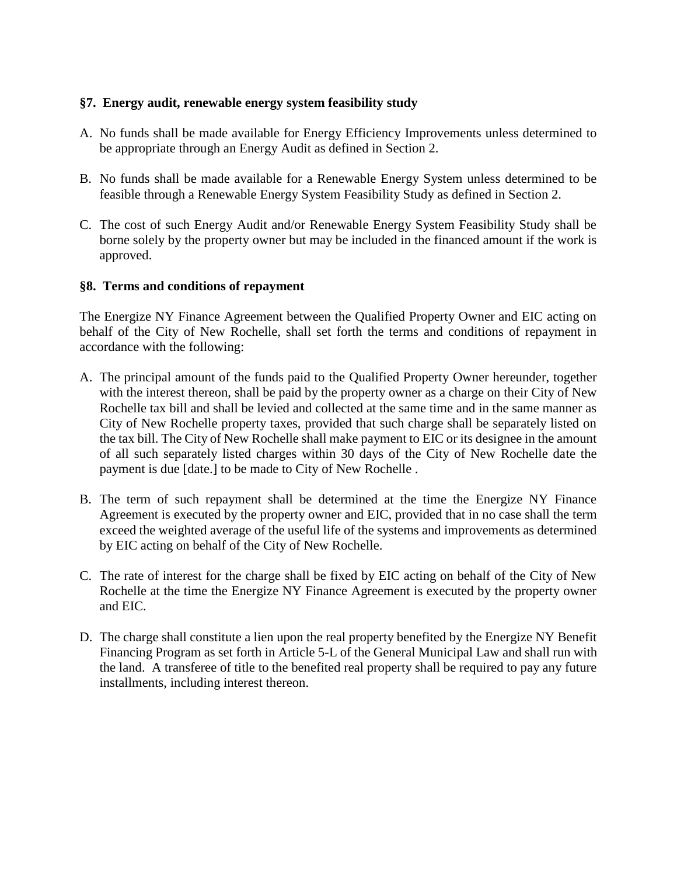## **§7. Energy audit, renewable energy system feasibility study**

- A. No funds shall be made available for Energy Efficiency Improvements unless determined to be appropriate through an Energy Audit as defined in Section 2.
- B. No funds shall be made available for a Renewable Energy System unless determined to be feasible through a Renewable Energy System Feasibility Study as defined in Section 2.
- C. The cost of such Energy Audit and/or Renewable Energy System Feasibility Study shall be borne solely by the property owner but may be included in the financed amount if the work is approved.

## **§8. Terms and conditions of repayment**

The Energize NY Finance Agreement between the Qualified Property Owner and EIC acting on behalf of the City of New Rochelle, shall set forth the terms and conditions of repayment in accordance with the following:

- A. The principal amount of the funds paid to the Qualified Property Owner hereunder, together with the interest thereon, shall be paid by the property owner as a charge on their City of New Rochelle tax bill and shall be levied and collected at the same time and in the same manner as City of New Rochelle property taxes, provided that such charge shall be separately listed on the tax bill. The City of New Rochelle shall make payment to EIC or its designee in the amount of all such separately listed charges within 30 days of the City of New Rochelle date the payment is due [date.] to be made to City of New Rochelle .
- B. The term of such repayment shall be determined at the time the Energize NY Finance Agreement is executed by the property owner and EIC, provided that in no case shall the term exceed the weighted average of the useful life of the systems and improvements as determined by EIC acting on behalf of the City of New Rochelle.
- C. The rate of interest for the charge shall be fixed by EIC acting on behalf of the City of New Rochelle at the time the Energize NY Finance Agreement is executed by the property owner and EIC.
- D. The charge shall constitute a lien upon the real property benefited by the Energize NY Benefit Financing Program as set forth in Article 5-L of the General Municipal Law and shall run with the land. A transferee of title to the benefited real property shall be required to pay any future installments, including interest thereon.